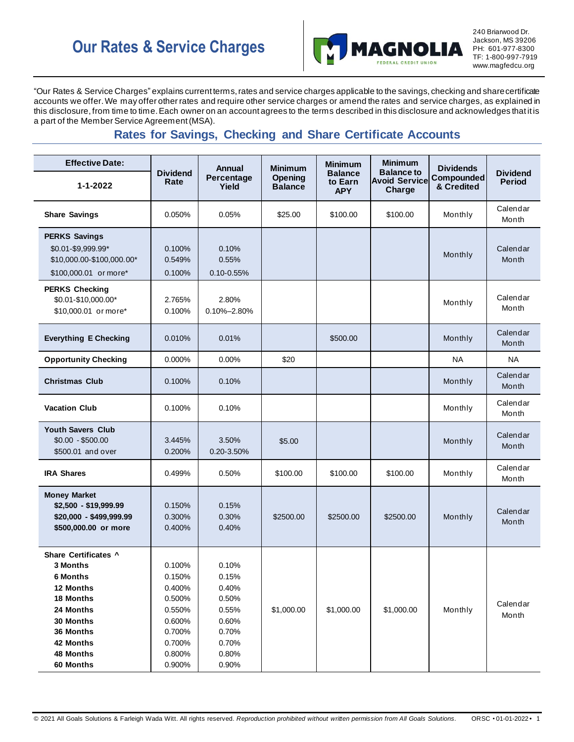

240 Briarwood Dr. Jackson, MS 39206 PH: 601-977-8300 TF: 1-800-997-7919 www.magfedcu.org

"Our Rates & Service Charges" explains current terms, rates and service charges applicable to the savings, checking and share certificate accounts we offer. We may offer other rates and require other service charges or amend the rates and service charges, as explained in this disclosure,from time to time. Each owner on an account agrees to the terms described in this disclosure and acknowledges that it is a part of the Member Service Agreement (MSA).

# **Rates for Savings, Checking and Share Certificate Accounts**

| <b>Effective Date:</b>                                                                                                                                      |                                                                                                  | Annual                                                                                 | <b>Minimum</b>                   | <b>Minimum</b>                          | <b>Minimum</b>                                      | <b>Dividends</b>         |                                  |
|-------------------------------------------------------------------------------------------------------------------------------------------------------------|--------------------------------------------------------------------------------------------------|----------------------------------------------------------------------------------------|----------------------------------|-----------------------------------------|-----------------------------------------------------|--------------------------|----------------------------------|
| $1 - 1 - 2022$                                                                                                                                              | <b>Dividend</b><br>Rate                                                                          | Percentage<br>Yield                                                                    | <b>Opening</b><br><b>Balance</b> | <b>Balance</b><br>to Earn<br><b>APY</b> | <b>Balance to</b><br><b>Avoid Service</b><br>Charge | Compounded<br>& Credited | <b>Dividend</b><br><b>Period</b> |
| <b>Share Savings</b>                                                                                                                                        | 0.050%                                                                                           | 0.05%                                                                                  | \$25.00                          | \$100.00                                | \$100.00                                            | Monthly                  | Calendar<br>Month                |
| <b>PERKS Savings</b><br>\$0.01-\$9,999.99*<br>\$10,000.00-\$100,000.00*<br>\$100,000.01 or more*                                                            | 0.100%<br>0.549%<br>0.100%                                                                       | 0.10%<br>0.55%<br>$0.10 - 0.55%$                                                       |                                  |                                         |                                                     | Monthly                  | Calendar<br>Month                |
| <b>PERKS Checking</b><br>\$0.01-\$10,000.00*<br>\$10,000.01 or more*                                                                                        | 2.765%<br>0.100%                                                                                 | 2.80%<br>0.10%-2.80%                                                                   |                                  |                                         |                                                     | Monthly                  | Calendar<br>Month                |
| <b>Everything E Checking</b>                                                                                                                                | 0.010%                                                                                           | 0.01%                                                                                  |                                  | \$500.00                                |                                                     | Monthly                  | Calendar<br>Month                |
| <b>Opportunity Checking</b>                                                                                                                                 | 0.000%                                                                                           | 0.00%                                                                                  | \$20                             |                                         |                                                     | <b>NA</b>                | <b>NA</b>                        |
| <b>Christmas Club</b>                                                                                                                                       | 0.100%                                                                                           | 0.10%                                                                                  |                                  |                                         |                                                     | Monthly                  | Calendar<br>Month                |
| <b>Vacation Club</b>                                                                                                                                        | 0.100%                                                                                           | 0.10%                                                                                  |                                  |                                         |                                                     | Monthly                  | Calendar<br>Month                |
| <b>Youth Savers Club</b><br>$$0.00 - $500.00$<br>\$500.01 and over                                                                                          | 3.445%<br>0.200%                                                                                 | 3.50%<br>0.20-3.50%                                                                    | \$5.00                           |                                         |                                                     | Monthly                  | Calendar<br>Month                |
| <b>IRA Shares</b>                                                                                                                                           | 0.499%                                                                                           | 0.50%                                                                                  | \$100.00                         | \$100.00                                | \$100.00                                            | Monthly                  | Calendar<br>Month                |
| <b>Money Market</b><br>\$2,500 - \$19,999.99<br>\$20,000 - \$499,999.99<br>\$500,000.00 or more                                                             | 0.150%<br>0.300%<br>0.400%                                                                       | 0.15%<br>0.30%<br>0.40%                                                                | \$2500.00                        | \$2500.00                               | \$2500.00                                           | Monthly                  | Calendar<br>Month                |
| Share Certificates ^<br>3 Months<br><b>6 Months</b><br>12 Months<br>18 Months<br>24 Months<br>30 Months<br>36 Months<br>42 Months<br>48 Months<br>60 Months | 0.100%<br>0.150%<br>0.400%<br>0.500%<br>0.550%<br>0.600%<br>0.700%<br>0.700%<br>0.800%<br>0.900% | 0.10%<br>0.15%<br>0.40%<br>0.50%<br>0.55%<br>0.60%<br>0.70%<br>0.70%<br>0.80%<br>0.90% | \$1,000.00                       | \$1,000.00                              | \$1,000.00                                          | Monthly                  | Calendar<br>Month                |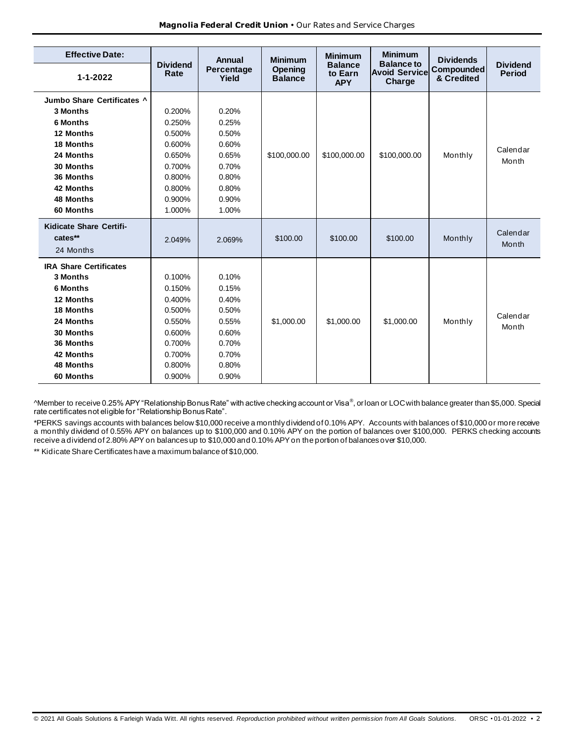| <b>Effective Date:</b>             |                         | Annual              | <b>Minimum</b>            | <b>Minimum</b>                          | <b>Minimum</b>                                      | <b>Dividends</b>                |                                  |
|------------------------------------|-------------------------|---------------------|---------------------------|-----------------------------------------|-----------------------------------------------------|---------------------------------|----------------------------------|
| $1 - 1 - 2022$                     | <b>Dividend</b><br>Rate | Percentage<br>Yield | Opening<br><b>Balance</b> | <b>Balance</b><br>to Earn<br><b>APY</b> | <b>Balance to</b><br><b>Avoid Service</b><br>Charge | <b>Compounded</b><br>& Credited | <b>Dividend</b><br><b>Period</b> |
| Jumbo Share Certificates ^         |                         |                     |                           |                                         |                                                     |                                 |                                  |
| 3 Months                           | 0.200%                  | 0.20%               |                           |                                         |                                                     |                                 |                                  |
| 6 Months                           | 0.250%                  | 0.25%               |                           |                                         |                                                     |                                 |                                  |
| 12 Months                          | 0.500%                  | 0.50%               |                           |                                         |                                                     |                                 |                                  |
| 18 Months                          | 0.600%                  | 0.60%               |                           |                                         |                                                     |                                 | Calendar                         |
| 24 Months                          | 0.650%                  | 0.65%               | \$100,000.00              | \$100,000.00                            | \$100,000.00                                        | Monthly                         | Month                            |
| 30 Months                          | 0.700%                  | 0.70%               |                           |                                         |                                                     |                                 |                                  |
| 36 Months                          | 0.800%                  | 0.80%               |                           |                                         |                                                     |                                 |                                  |
| 42 Months                          | 0.800%                  | 0.80%               |                           |                                         |                                                     |                                 |                                  |
| 48 Months                          | 0.900%                  | 0.90%               |                           |                                         |                                                     |                                 |                                  |
| 60 Months                          | 1.000%                  | 1.00%               |                           |                                         |                                                     |                                 |                                  |
| Kidicate Share Certifi-<br>cates** | 2.049%                  | 2.069%              | \$100.00                  | \$100.00                                | \$100.00                                            | Monthly                         | Calendar<br>Month                |
| 24 Months                          |                         |                     |                           |                                         |                                                     |                                 |                                  |
| <b>IRA Share Certificates</b>      |                         |                     |                           |                                         |                                                     |                                 |                                  |
| 3 Months                           | 0.100%                  | 0.10%               |                           |                                         |                                                     |                                 |                                  |
| 6 Months                           | 0.150%                  | 0.15%               |                           |                                         |                                                     |                                 |                                  |
| 12 Months                          | 0.400%                  | 0.40%               |                           |                                         |                                                     |                                 |                                  |
| 18 Months                          | 0.500%                  | 0.50%               |                           |                                         |                                                     |                                 | Calendar                         |
| 24 Months                          | 0.550%                  | 0.55%               | \$1,000.00                | \$1,000.00                              | \$1,000.00                                          | Monthly                         | Month                            |
| 30 Months                          | 0.600%                  | 0.60%               |                           |                                         |                                                     |                                 |                                  |
| 36 Months                          | 0.700%                  | 0.70%               |                           |                                         |                                                     |                                 |                                  |
| 42 Months                          | 0.700%                  | 0.70%               |                           |                                         |                                                     |                                 |                                  |
| <b>48 Months</b>                   | 0.800%                  | 0.80%               |                           |                                         |                                                     |                                 |                                  |
| 60 Months                          | 0.900%                  | 0.90%               |                           |                                         |                                                     |                                 |                                  |

^Member to receive 0.25% APY "Relationship Bonus Rate" with active checking account or Visa®, or loan or LOC with balance greater than \$5,000. Special rate certificates not eligible for "Relationship Bonus Rate".

\*PERKS savings accounts with balances below \$10,000 receive a monthly dividend of 0.10% APY. Accounts with balances of \$10,000 or more receive a monthly dividend of 0.55% APY on balances up to \$100,000 and 0.10% APY on the portion of balances over \$100,000. PERKS checking accounts receive a dividend of 2.80% APY on balances up to \$10,000 and 0.10% APY on the portion of balances over \$10,000.

\*\* Kidicate Share Certificates have a maximum balance of \$10,000.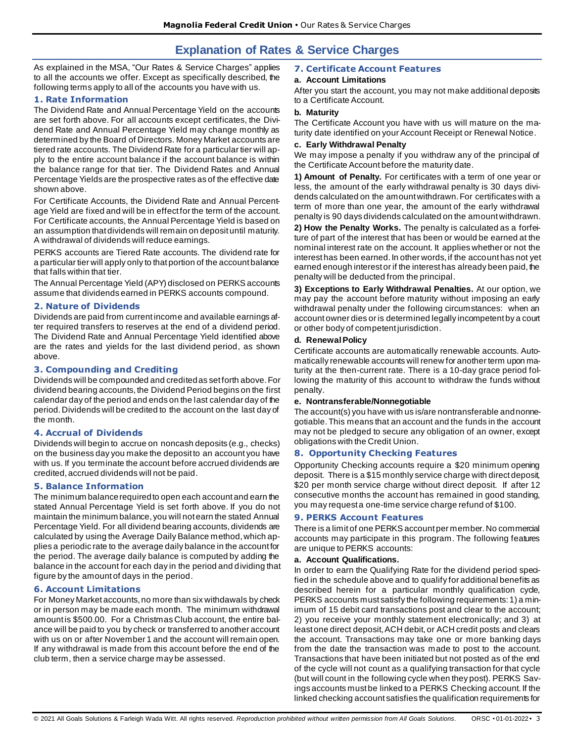# **Explanation of Rates & Service Charges**

As explained in the MSA, "Our Rates & Service Charges" applies to all the accounts we offer. Except as specifically described, the following terms apply to all of the accounts you have with us.

# **1. Rate Information**

The Dividend Rate and Annual Percentage Yield on the accounts are set forth above. For all accounts except certificates, the Dividend Rate and Annual Percentage Yield may change monthly as determined by the Board of Directors. Money Market accounts are tiered rate accounts. The Dividend Rate for a particular tier will apply to the entire account balance if the account balance is within the balance range for that tier. The Dividend Rates and Annual Percentage Yields are the prospective rates as of the effective date shown above.

For Certificate Accounts, the Dividend Rate and Annual Percentage Yield are fixed and will be in effect for the term of the account. For Certificate accounts, the Annual Percentage Yield is based on an assumption that dividends will remain on deposit until maturity. A withdrawal of dividends will reduce earnings.

PERKS accounts are Tiered Rate accounts. The dividend rate for a particular tier will apply only to that portion of the account balance that falls within that tier.

The Annual Percentage Yield (APY) disclosed on PERKS accounts assume that dividends earned in PERKS accounts compound.

# **2. Nature of Dividends**

Dividends are paid from current income and available earnings after required transfers to reserves at the end of a dividend period. The Dividend Rate and Annual Percentage Yield identified above are the rates and yields for the last dividend period, as shown above.

## **3. Compounding and Crediting**

Dividends will be compounded and credited as set forth above. For dividend bearing accounts, the Dividend Period begins on the first calendar day of the period and ends on the last calendar day of the period. Dividends will be credited to the account on the last day of the month.

# **4. Accrual of Dividends**

Dividends will begin to accrue on noncash deposits (e.g., checks) on the business day you make the deposit to an account you have with us. If you terminate the account before accrued dividends are credited, accrued dividends will not be paid.

# **5. Balance Information**

The minimum balance required to open each account and earn the stated Annual Percentage Yield is set forth above. If you do not maintain the minimum balance, you will not earn the stated Annual Percentage Yield. For all dividend bearing accounts, dividends are calculated by using the Average Daily Balance method, which applies a periodic rate to the average daily balance in the account for the period. The average daily balance is computed by adding the balance in the account for each day in the period and dividing that figure by the amount of days in the period.

# **6. Account Limitations**

For Money Market accounts, no more than six withdawals by check or in person may be made each month. The minimum withdrawal amount is \$500.00. For a Christmas Club account, the entire balance will be paid to you by check or transferred to another account with us on or after November 1 and the account will remain open. If any withdrawal is made from this account before the end of the club term, then a service charge may be assessed.

# **7. Certificate Account Features**

## **a. Account Limitations**

After you start the account, you may not make additional deposits to a Certificate Account.

# **b. Maturity**

The Certificate Account you have with us will mature on the maturity date identified on your Account Receipt or Renewal Notice.

### **c. Early Withdrawal Penalty**

We may impose a penalty if you withdraw any of the principal of the Certificate Account before the maturity date.

**1) Amount of Penalty.** For certificates with a term of one year or less, the amount of the early withdrawal penalty is 30 days dividends calculated on the amount withdrawn. For certificates with a term of more than one year, the amount of the early withdrawal penalty is 90 days dividends calculated on the amount withdrawn.

**2) How the Penalty Works.** The penalty is calculated as a forfeiture of part of the interest that has been or would be earned at the nominal interest rate on the account. It applies whether or not the interest has been earned. In other words, if the account has not yet earned enough interest or if the interest has already been paid, the penalty will be deducted from the principal.

**3) Exceptions to Early Withdrawal Penalties.** At our option, we may pay the account before maturity without imposing an early withdrawal penalty under the following circumstances: when an account owner dies or is determined legally incompetent by a court or other body of competent jurisdiction.

### **d. Renewal Policy**

Certificate accounts are automatically renewable accounts. Automatically renewable accounts will renew for another term upon maturity at the then-current rate. There is a 10-day grace period following the maturity of this account to withdraw the funds without penalty.

### **e. Nontransferable/Nonnegotiable**

The account(s) you have with us is/are nontransferable and nonnegotiable. This means that an account and the funds in the account may not be pledged to secure any obligation of an owner, except obligations with the Credit Union.

# **8. Opportunity Checking Features**

Opportunity Checking accounts require a \$20 minimum opening deposit. There is a \$15 monthly service charge with direct deposit, \$20 per month service charge without direct deposit. If after 12 consecutive months the account has remained in good standing, you may request a one-time service charge refund of \$100.

# **9. PERKS Account Features**

There is a limit of one PERKS account per member. No commercial accounts may participate in this program. The following features are unique to PERKS accounts:

### **a. Account Qualifications.**

In order to earn the Qualifying Rate for the dividend period specified in the schedule above and to qualify for additional benefits as described herein for a particular monthly qualification cycle, PERKS accounts must satisfy the following requirements: 1) a minimum of 15 debit card transactions post and clear to the account; 2) you receive your monthly statement electronically; and 3) at least one direct deposit, ACH debit, or ACH credit posts and clears the account. Transactions may take one or more banking days from the date the transaction was made to post to the account. Transactions that have been initiated but not posted as of the end of the cycle will not count as a qualifying transaction for that cycle (but will count in the following cycle when they post). PERKS Savings accounts must be linked to a PERKS Checking account. If the linked checking account satisfies the qualification requirements for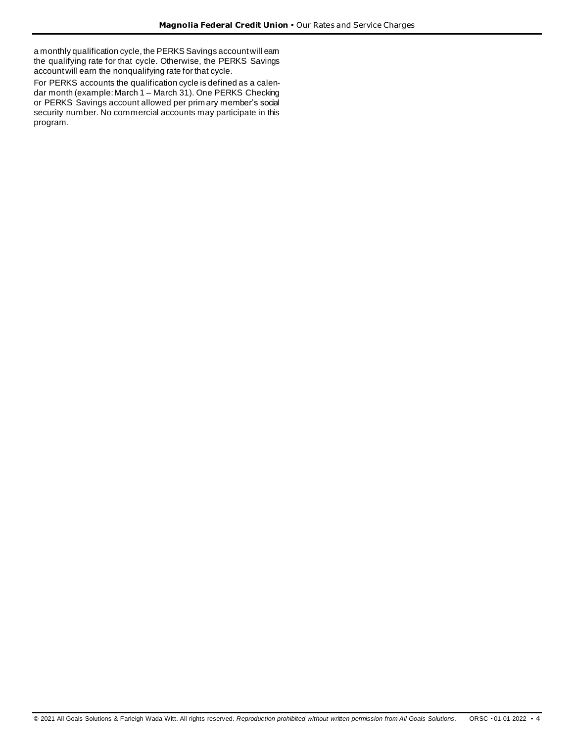a monthly qualification cycle, the PERKS Savings account will eam the qualifying rate for that cycle. Otherwise, the PERKS Savings account will earn the nonqualifying rate for that cycle.

For PERKS accounts the qualification cycle is defined as a calendar month (example: March 1 – March 31). One PERKS Checking or PERKS Savings account allowed per primary member's social security number. No commercial accounts may participate in this program.